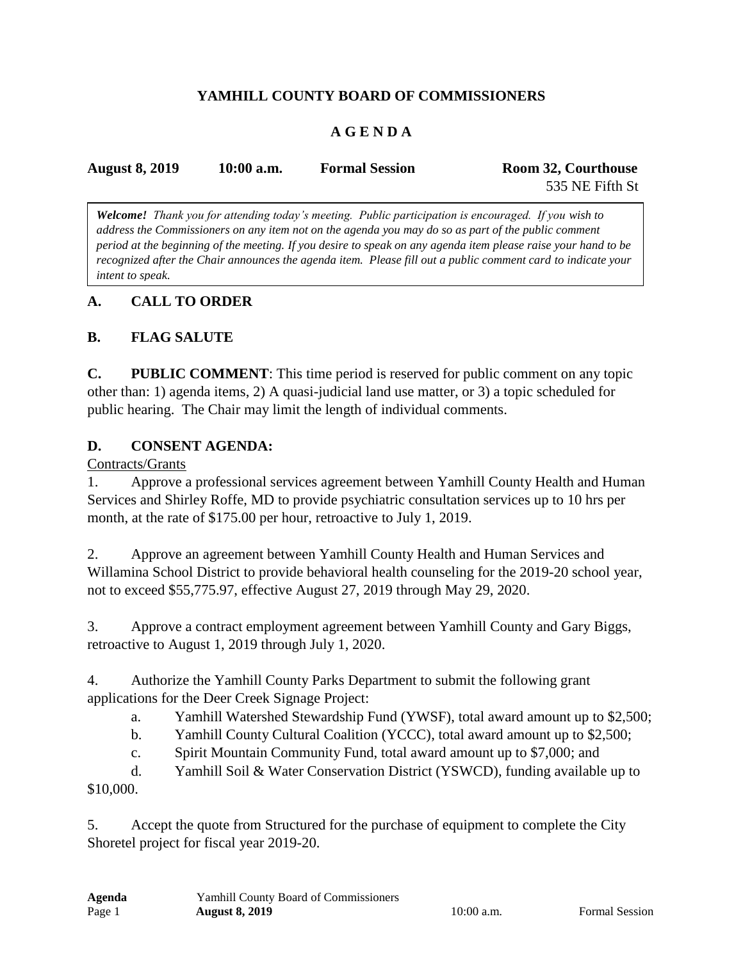## **YAMHILL COUNTY BOARD OF COMMISSIONERS**

# **A G E N D A**

| <b>August 8, 2019</b> | $10:00$ a.m. | <b>Formal Session</b> | Room 32, Courthouse |
|-----------------------|--------------|-----------------------|---------------------|
|                       |              |                       | 535 NE Fifth St     |

*Welcome! Thank you for attending today's meeting. Public participation is encouraged. If you wish to address the Commissioners on any item not on the agenda you may do so as part of the public comment period at the beginning of the meeting. If you desire to speak on any agenda item please raise your hand to be recognized after the Chair announces the agenda item. Please fill out a public comment card to indicate your intent to speak.*

### **A. CALL TO ORDER**

## **B. FLAG SALUTE**

**C. PUBLIC COMMENT**: This time period is reserved for public comment on any topic other than: 1) agenda items, 2) A quasi-judicial land use matter, or 3) a topic scheduled for public hearing. The Chair may limit the length of individual comments.

### **D. CONSENT AGENDA:**

Contracts/Grants

1. Approve a professional services agreement between Yamhill County Health and Human Services and Shirley Roffe, MD to provide psychiatric consultation services up to 10 hrs per month, at the rate of \$175.00 per hour, retroactive to July 1, 2019.

2. Approve an agreement between Yamhill County Health and Human Services and Willamina School District to provide behavioral health counseling for the 2019-20 school year, not to exceed \$55,775.97, effective August 27, 2019 through May 29, 2020.

3. Approve a contract employment agreement between Yamhill County and Gary Biggs, retroactive to August 1, 2019 through July 1, 2020.

4. Authorize the Yamhill County Parks Department to submit the following grant applications for the Deer Creek Signage Project:

a. Yamhill Watershed Stewardship Fund (YWSF), total award amount up to \$2,500;

b. Yamhill County Cultural Coalition (YCCC), total award amount up to \$2,500;

c. Spirit Mountain Community Fund, total award amount up to \$7,000; and

d. Yamhill Soil & Water Conservation District (YSWCD), funding available up to \$10,000.

5. Accept the quote from Structured for the purchase of equipment to complete the City Shoretel project for fiscal year 2019-20.